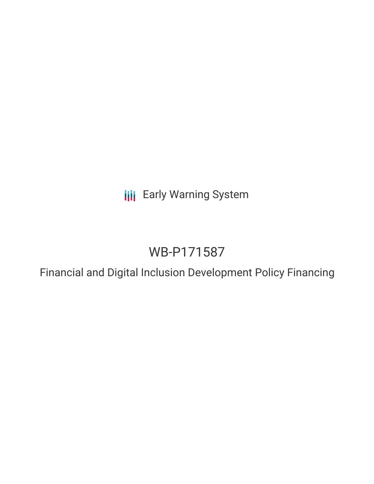**III** Early Warning System

# WB-P171587

Financial and Digital Inclusion Development Policy Financing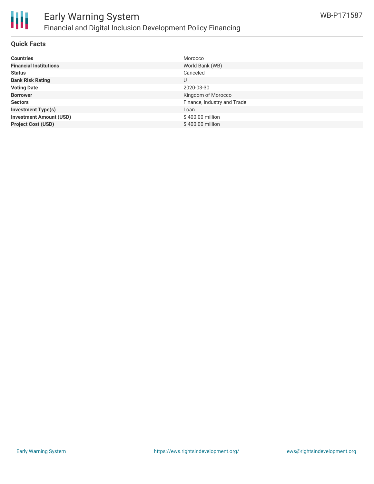

#### **Quick Facts**

| <b>Countries</b>               | Morocco                     |
|--------------------------------|-----------------------------|
| <b>Financial Institutions</b>  | World Bank (WB)             |
| <b>Status</b>                  | Canceled                    |
| <b>Bank Risk Rating</b>        | U                           |
| <b>Voting Date</b>             | 2020-03-30                  |
| <b>Borrower</b>                | Kingdom of Morocco          |
| <b>Sectors</b>                 | Finance, Industry and Trade |
| <b>Investment Type(s)</b>      | Loan                        |
| <b>Investment Amount (USD)</b> | \$400.00 million            |
| <b>Project Cost (USD)</b>      | \$400.00 million            |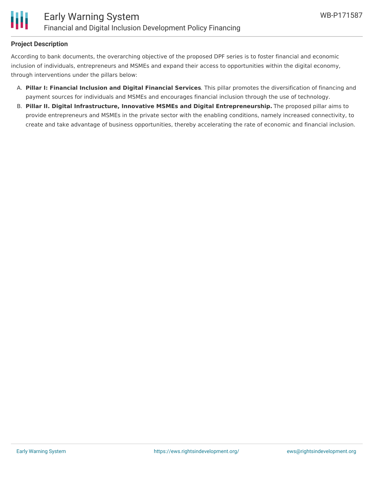## **Project Description**

According to bank documents, the overarching objective of the proposed DPF series is to foster financial and economic inclusion of individuals, entrepreneurs and MSMEs and expand their access to opportunities within the digital economy, through interventions under the pillars below:

- A. **Pillar I: Financial Inclusion and Digital Financial Services**. This pillar promotes the diversification of financing and payment sources for individuals and MSMEs and encourages financial inclusion through the use of technology.
- B. **Pillar II. Digital Infrastructure, Innovative MSMEs and Digital Entrepreneurship.** The proposed pillar aims to provide entrepreneurs and MSMEs in the private sector with the enabling conditions, namely increased connectivity, to create and take advantage of business opportunities, thereby accelerating the rate of economic and financial inclusion.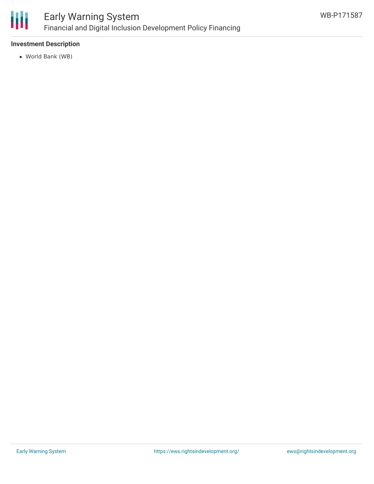

# **Investment Description**

World Bank (WB)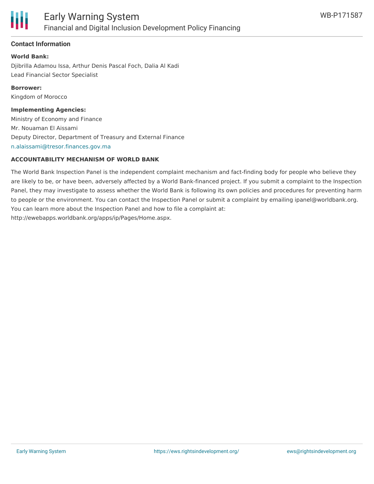

# **Contact Information**

**World Bank:** Djibrilla Adamou Issa, Arthur Denis Pascal Foch, Dalia Al Kadi Lead Financial Sector Specialist

**Borrower:** Kingdom of Morocco

**Implementing Agencies:**

Ministry of Economy and Finance Mr. Nouaman El Aissami Deputy Director, Department of Treasury and External Finance [n.alaissami@tresor.finances.gov.ma](mailto:n.alaissami@tresor.finances.gov.ma)

#### **ACCOUNTABILITY MECHANISM OF WORLD BANK**

The World Bank Inspection Panel is the independent complaint mechanism and fact-finding body for people who believe they are likely to be, or have been, adversely affected by a World Bank-financed project. If you submit a complaint to the Inspection Panel, they may investigate to assess whether the World Bank is following its own policies and procedures for preventing harm to people or the environment. You can contact the Inspection Panel or submit a complaint by emailing ipanel@worldbank.org. You can learn more about the Inspection Panel and how to file a complaint at: http://ewebapps.worldbank.org/apps/ip/Pages/Home.aspx.